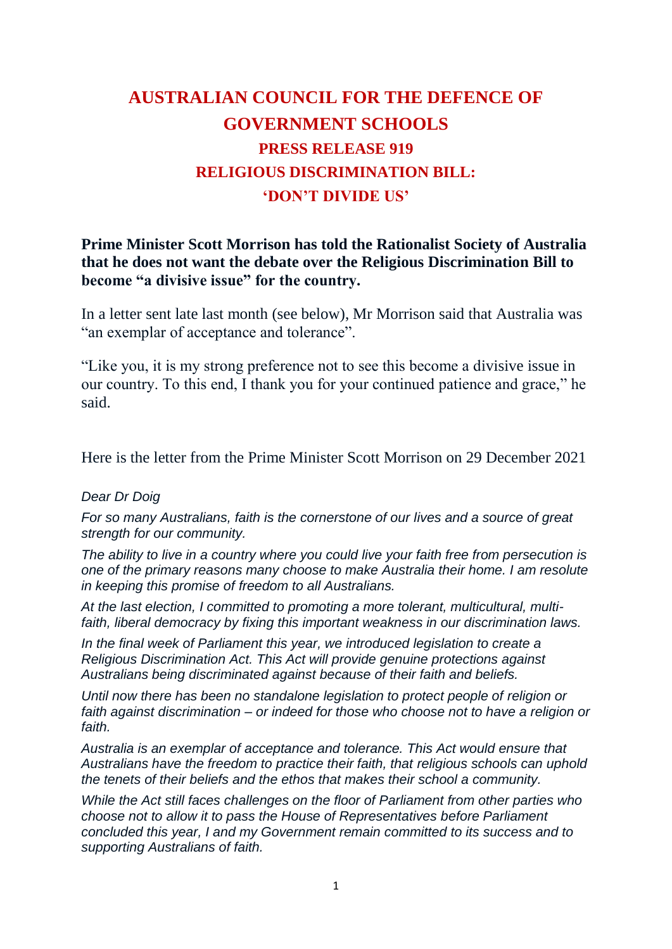## **AUSTRALIAN COUNCIL FOR THE DEFENCE OF GOVERNMENT SCHOOLS PRESS RELEASE 919 RELIGIOUS DISCRIMINATION BILL: 'DON'T DIVIDE US'**

#### **Prime Minister Scott Morrison has told the Rationalist Society of Australia that he does not want the debate over the Religious Discrimination Bill to become "a divisive issue" for the country.**

In a letter sent late last month (see below), Mr Morrison said that Australia was "an exemplar of acceptance and tolerance".

"Like you, it is my strong preference not to see this become a divisive issue in our country. To this end, I thank you for your continued patience and grace," he said.

Here is the letter from the Prime Minister Scott Morrison on 29 December 2021

#### *Dear Dr Doig*

*For so many Australians, faith is the cornerstone of our lives and a source of great strength for our community.*

*The ability to live in a country where you could live your faith free from persecution is one of the primary reasons many choose to make Australia their home. I am resolute in keeping this promise of freedom to all Australians.*

*At the last election, I committed to promoting a more tolerant, multicultural, multifaith, liberal democracy by fixing this important weakness in our discrimination laws.*

*In the final week of Parliament this year, we introduced legislation to create a Religious Discrimination Act. This Act will provide genuine protections against Australians being discriminated against because of their faith and beliefs.*

*Until now there has been no standalone legislation to protect people of religion or faith against discrimination – or indeed for those who choose not to have a religion or faith.*

*Australia is an exemplar of acceptance and tolerance. This Act would ensure that Australians have the freedom to practice their faith, that religious schools can uphold the tenets of their beliefs and the ethos that makes their school a community.*

*While the Act still faces challenges on the floor of Parliament from other parties who choose not to allow it to pass the House of Representatives before Parliament concluded this year, I and my Government remain committed to its success and to supporting Australians of faith.*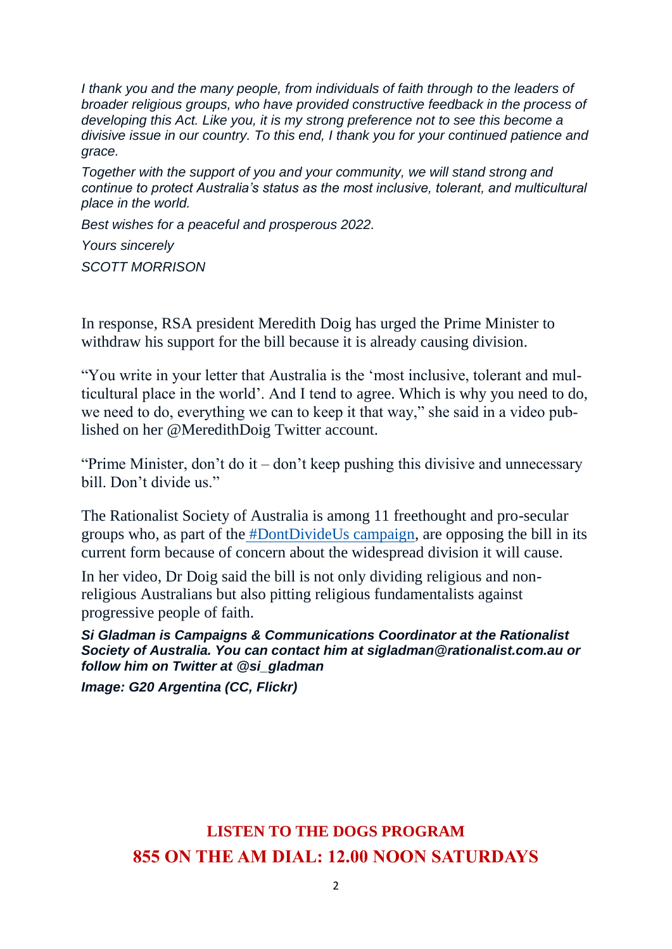*I thank you and the many people, from individuals of faith through to the leaders of broader religious groups, who have provided constructive feedback in the process of developing this Act. Like you, it is my strong preference not to see this become a divisive issue in our country. To this end, I thank you for your continued patience and grace.*

*Together with the support of you and your community, we will stand strong and continue to protect Australia's status as the most inclusive, tolerant, and multicultural place in the world.*

*Best wishes for a peaceful and prosperous 2022.*

*Yours sincerely SCOTT MORRISON*

In response, RSA president Meredith Doig has urged the Prime Minister to withdraw his support for the bill because it is already causing division.

"You write in your letter that Australia is the 'most inclusive, tolerant and multicultural place in the world'. And I tend to agree. Which is why you need to do, we need to do, everything we can to keep it that way," she said in a video published on her @MeredithDoig Twitter account.

"Prime Minister, don't do it – don't keep pushing this divisive and unnecessary bill. Don't divide us."

The Rationalist Society of Australia is among 11 freethought and pro-secular groups who, as part of the [#DontDivideUs campaign,](https://dontdivideus.com.au/) are opposing the bill in its current form because of concern about the widespread division it will cause.

In her video, Dr Doig said the bill is not only dividing religious and nonreligious Australians but also pitting religious fundamentalists against progressive people of faith.

*Si Gladman is Campaigns & Communications Coordinator at the Rationalist Society of Australia. You can contact him at sigladman@rationalist.com.au or follow him on Twitter at @si\_gladman*

*Image: G20 Argentina (CC, Flickr)*

### **LISTEN TO THE DOGS PROGRAM 855 ON THE AM DIAL: 12.00 NOON SATURDAYS**